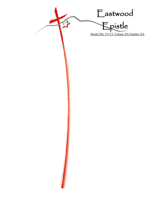Eastwood Epistle Month DD, YYYY Volume XX Number XX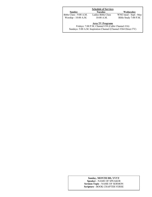# **Schedule of Services**

**Sunday Tuesday Wednesday** 

Bible Class - 9:00 A.M. Ladies Bible Class WNO meal - Sept - May Worship - 10:00 A.M. 10:00 A.M. Bible Study 7:00 P.M.

# **Area TV Programs**

Fridays: 7:00 P.M. Channel #38 (Cable Channel #16) Sundays: 5:00 A.M. Inspiration Channel (Channel #364 Direct TV)

## **Sunday, MONTH DD, YYYY Speaker** - NAME OF SPEAKER **Sermon Topic** - NAME OF SERMON **Scripture** - BOOK CHAPTER:VERSE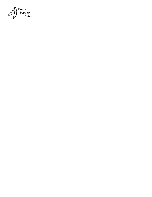